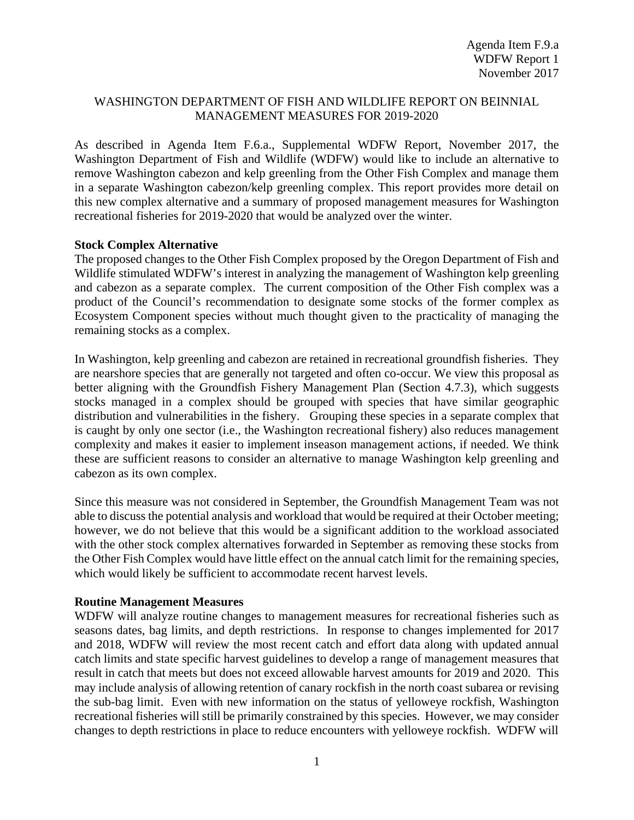## WASHINGTON DEPARTMENT OF FISH AND WILDLIFE REPORT ON BEINNIAL MANAGEMENT MEASURES FOR 2019-2020

As described in Agenda Item F.6.a., Supplemental WDFW Report, November 2017, the Washington Department of Fish and Wildlife (WDFW) would like to include an alternative to remove Washington cabezon and kelp greenling from the Other Fish Complex and manage them in a separate Washington cabezon/kelp greenling complex. This report provides more detail on this new complex alternative and a summary of proposed management measures for Washington recreational fisheries for 2019-2020 that would be analyzed over the winter.

## **Stock Complex Alternative**

The proposed changes to the Other Fish Complex proposed by the Oregon Department of Fish and Wildlife stimulated WDFW's interest in analyzing the management of Washington kelp greenling and cabezon as a separate complex. The current composition of the Other Fish complex was a product of the Council's recommendation to designate some stocks of the former complex as Ecosystem Component species without much thought given to the practicality of managing the remaining stocks as a complex.

In Washington, kelp greenling and cabezon are retained in recreational groundfish fisheries. They are nearshore species that are generally not targeted and often co-occur. We view this proposal as better aligning with the Groundfish Fishery Management Plan (Section 4.7.3), which suggests stocks managed in a complex should be grouped with species that have similar geographic distribution and vulnerabilities in the fishery. Grouping these species in a separate complex that is caught by only one sector (i.e., the Washington recreational fishery) also reduces management complexity and makes it easier to implement inseason management actions, if needed. We think these are sufficient reasons to consider an alternative to manage Washington kelp greenling and cabezon as its own complex.

Since this measure was not considered in September, the Groundfish Management Team was not able to discuss the potential analysis and workload that would be required at their October meeting; however, we do not believe that this would be a significant addition to the workload associated with the other stock complex alternatives forwarded in September as removing these stocks from the Other Fish Complex would have little effect on the annual catch limit for the remaining species, which would likely be sufficient to accommodate recent harvest levels.

## **Routine Management Measures**

WDFW will analyze routine changes to management measures for recreational fisheries such as seasons dates, bag limits, and depth restrictions. In response to changes implemented for 2017 and 2018, WDFW will review the most recent catch and effort data along with updated annual catch limits and state specific harvest guidelines to develop a range of management measures that result in catch that meets but does not exceed allowable harvest amounts for 2019 and 2020. This may include analysis of allowing retention of canary rockfish in the north coast subarea or revising the sub-bag limit. Even with new information on the status of yelloweye rockfish, Washington recreational fisheries will still be primarily constrained by this species. However, we may consider changes to depth restrictions in place to reduce encounters with yelloweye rockfish. WDFW will